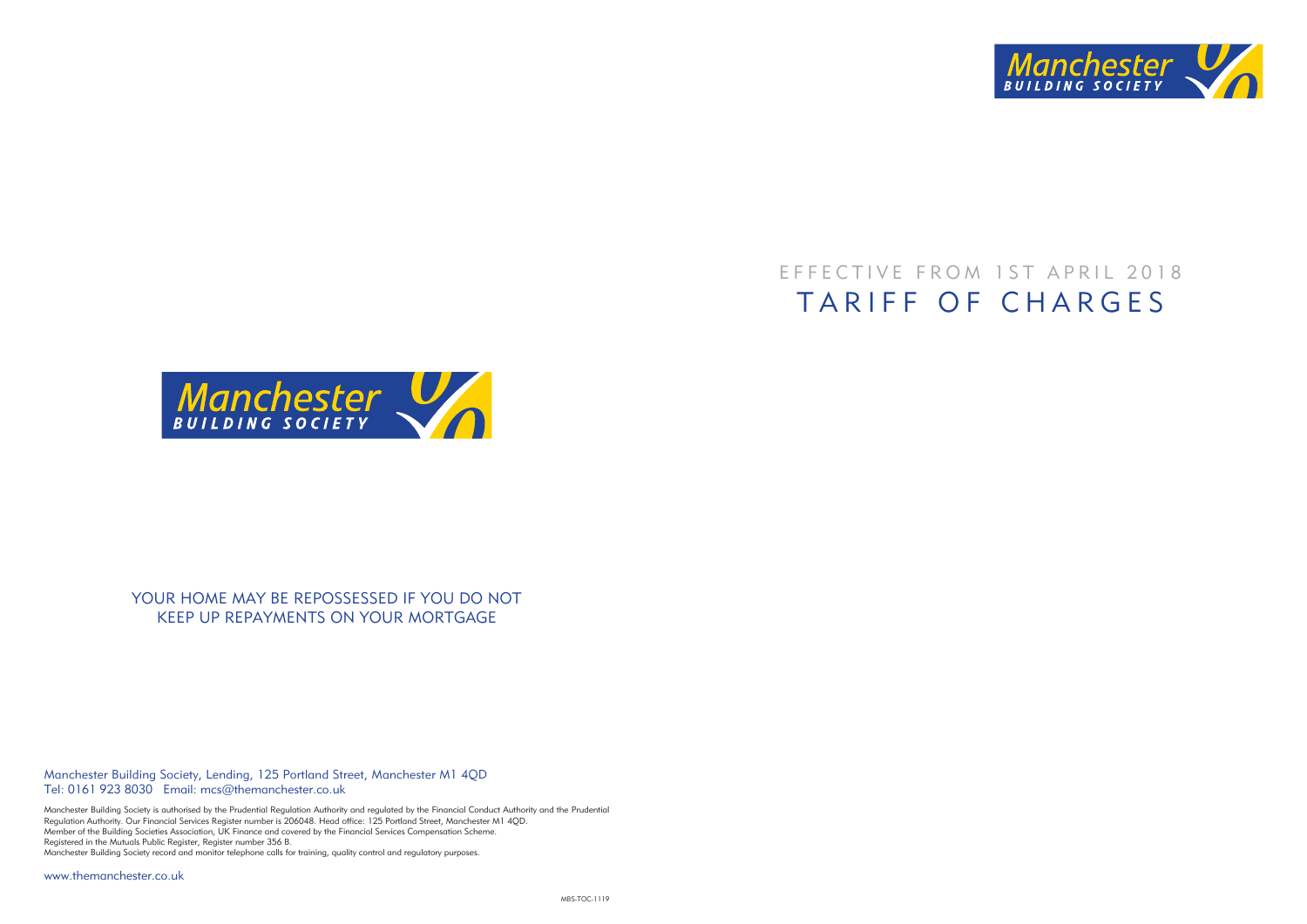

## EFFECTIVE FROM 1ST APRIL 2018 TARIFF OF CHARGES



## YOUR HOME MAY BE REPOSSESSED IF YOU DO NOT KEEP UP REPAYMENTS ON YOUR MORTGAGE

Manchester Building Society, Lending, 125 Portland Street, Manchester M1 4QD Tel: 0161 923 8030 Email: mcs@themanchester.co.uk

Manchester Building Society is authorised by the Prudential Regulation Authority and regulated by the Financial Conduct Authority and the Prudential Regulation Authority. Our Financial Services Register number is 206048. Head office: 125 Portland Street, Manchester M1 4QD. Member of the Building Societies Association, UK Finance and covered by the Financial Services Compensation Scheme. Registered in the Mutuals Public Register, Register number 356 B. Manchester Building Society record and monitor telephone calls for training, quality control and regulatory purposes.

www.themanchester.co.uk